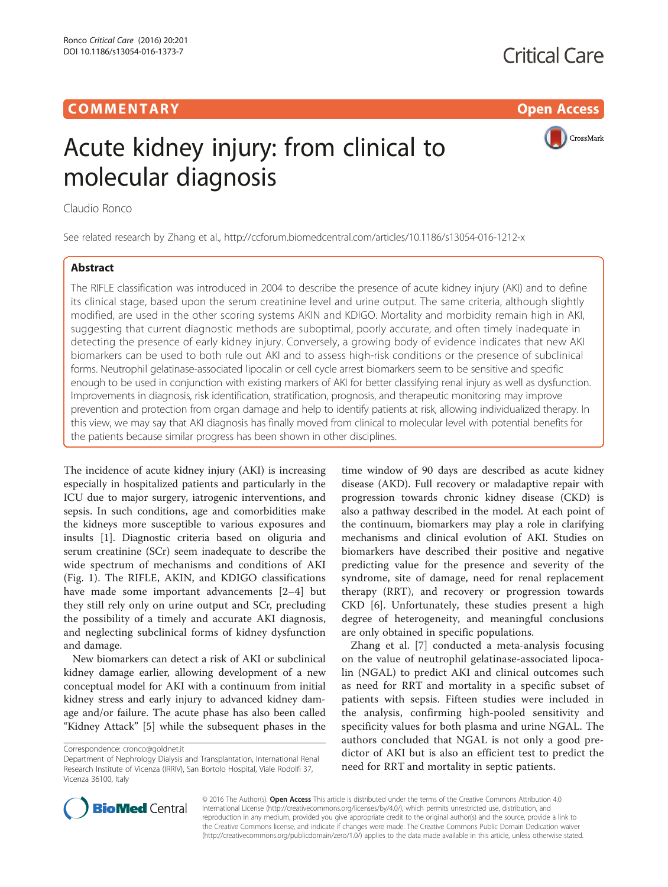## COMM EN TARY Op[en](http://crossmark.crossref.org/dialog/?doi=10.1186/s13054-016-1373-7&domain=pdf) [Access](http://crossmark.crossref.org/dialog/?doi=10.1186/s13054-016-1373-7&domain=pdf)

CrossMark

# Acute kidney injury: from clinical to molecular diagnosis

Claudio Ronco

See related research by Zhang et al.,<http://ccforum.biomedcentral.com/articles/10.1186/s13054-016-1212-x>

## **Abstract**

The RIFLE classification was introduced in 2004 to describe the presence of acute kidney injury (AKI) and to define its clinical stage, based upon the serum creatinine level and urine output. The same criteria, although slightly modified, are used in the other scoring systems AKIN and KDIGO. Mortality and morbidity remain high in AKI, suggesting that current diagnostic methods are suboptimal, poorly accurate, and often timely inadequate in detecting the presence of early kidney injury. Conversely, a growing body of evidence indicates that new AKI biomarkers can be used to both rule out AKI and to assess high-risk conditions or the presence of subclinical forms. Neutrophil gelatinase-associated lipocalin or cell cycle arrest biomarkers seem to be sensitive and specific enough to be used in conjunction with existing markers of AKI for better classifying renal injury as well as dysfunction. Improvements in diagnosis, risk identification, stratification, prognosis, and therapeutic monitoring may improve prevention and protection from organ damage and help to identify patients at risk, allowing individualized therapy. In this view, we may say that AKI diagnosis has finally moved from clinical to molecular level with potential benefits for the patients because similar progress has been shown in other disciplines.

The incidence of acute kidney injury (AKI) is increasing especially in hospitalized patients and particularly in the ICU due to major surgery, iatrogenic interventions, and sepsis. In such conditions, age and comorbidities make the kidneys more susceptible to various exposures and insults [[1\]](#page-2-0). Diagnostic criteria based on oliguria and serum creatinine (SCr) seem inadequate to describe the wide spectrum of mechanisms and conditions of AKI (Fig. [1\)](#page-1-0). The RIFLE, AKIN, and KDIGO classifications have made some important advancements [[2](#page-2-0)–[4\]](#page-2-0) but they still rely only on urine output and SCr, precluding the possibility of a timely and accurate AKI diagnosis, and neglecting subclinical forms of kidney dysfunction and damage.

New biomarkers can detect a risk of AKI or subclinical kidney damage earlier, allowing development of a new conceptual model for AKI with a continuum from initial kidney stress and early injury to advanced kidney damage and/or failure. The acute phase has also been called "Kidney Attack" [\[5](#page-2-0)] while the subsequent phases in the

time window of 90 days are described as acute kidney disease (AKD). Full recovery or maladaptive repair with progression towards chronic kidney disease (CKD) is also a pathway described in the model. At each point of the continuum, biomarkers may play a role in clarifying mechanisms and clinical evolution of AKI. Studies on biomarkers have described their positive and negative predicting value for the presence and severity of the syndrome, site of damage, need for renal replacement therapy (RRT), and recovery or progression towards CKD [[6\]](#page-2-0). Unfortunately, these studies present a high degree of heterogeneity, and meaningful conclusions are only obtained in specific populations.

Zhang et al. [\[7](#page-2-0)] conducted a meta-analysis focusing on the value of neutrophil gelatinase-associated lipocalin (NGAL) to predict AKI and clinical outcomes such as need for RRT and mortality in a specific subset of patients with sepsis. Fifteen studies were included in the analysis, confirming high-pooled sensitivity and specificity values for both plasma and urine NGAL. The authors concluded that NGAL is not only a good predictor of AKI but is also an efficient test to predict the need for RRT and mortality in septic patients.



© 2016 The Author(s). Open Access This article is distributed under the terms of the Creative Commons Attribution 4.0 International License [\(http://creativecommons.org/licenses/by/4.0/](http://creativecommons.org/licenses/by/4.0/)), which permits unrestricted use, distribution, and reproduction in any medium, provided you give appropriate credit to the original author(s) and the source, provide a link to the Creative Commons license, and indicate if changes were made. The Creative Commons Public Domain Dedication waiver [\(http://creativecommons.org/publicdomain/zero/1.0/](http://creativecommons.org/publicdomain/zero/1.0/)) applies to the data made available in this article, unless otherwise stated.

Correspondence: [cronco@goldnet.it](mailto:cronco@goldnet.it)

Department of Nephrology Dialysis and Transplantation, International Renal Research Institute of Vicenza (IRRIV), San Bortolo Hospital, Viale Rodolfi 37, Vicenza 36100, Italy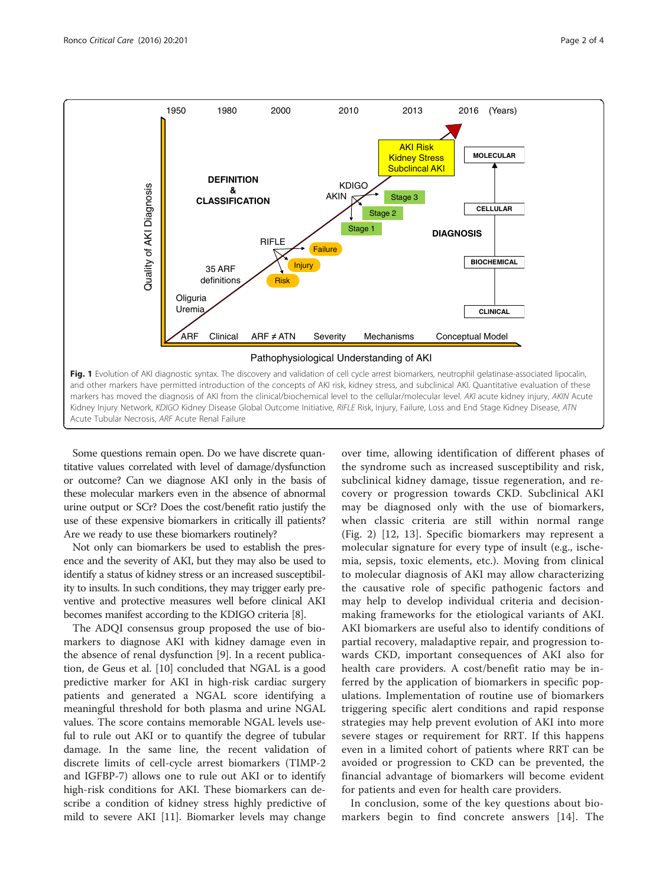<span id="page-1-0"></span>

Some questions remain open. Do we have discrete quantitative values correlated with level of damage/dysfunction or outcome? Can we diagnose AKI only in the basis of these molecular markers even in the absence of abnormal urine output or SCr? Does the cost/benefit ratio justify the use of these expensive biomarkers in critically ill patients? Are we ready to use these biomarkers routinely?

Not only can biomarkers be used to establish the presence and the severity of AKI, but they may also be used to identify a status of kidney stress or an increased susceptibility to insults. In such conditions, they may trigger early preventive and protective measures well before clinical AKI becomes manifest according to the KDIGO criteria [\[8\]](#page-2-0).

The ADQI consensus group proposed the use of biomarkers to diagnose AKI with kidney damage even in the absence of renal dysfunction [\[9](#page-2-0)]. In a recent publication, de Geus et al. [[10\]](#page-3-0) concluded that NGAL is a good predictive marker for AKI in high-risk cardiac surgery patients and generated a NGAL score identifying a meaningful threshold for both plasma and urine NGAL values. The score contains memorable NGAL levels useful to rule out AKI or to quantify the degree of tubular damage. In the same line, the recent validation of discrete limits of cell-cycle arrest biomarkers (TIMP-2 and IGFBP-7) allows one to rule out AKI or to identify high-risk conditions for AKI. These biomarkers can describe a condition of kidney stress highly predictive of mild to severe AKI [[11\]](#page-3-0). Biomarker levels may change

over time, allowing identification of different phases of the syndrome such as increased susceptibility and risk, subclinical kidney damage, tissue regeneration, and recovery or progression towards CKD. Subclinical AKI may be diagnosed only with the use of biomarkers, when classic criteria are still within normal range (Fig. [2\)](#page-2-0) [[12, 13](#page-3-0)]. Specific biomarkers may represent a molecular signature for every type of insult (e.g., ischemia, sepsis, toxic elements, etc.). Moving from clinical to molecular diagnosis of AKI may allow characterizing the causative role of specific pathogenic factors and may help to develop individual criteria and decisionmaking frameworks for the etiological variants of AKI. AKI biomarkers are useful also to identify conditions of partial recovery, maladaptive repair, and progression towards CKD, important consequences of AKI also for health care providers. A cost/benefit ratio may be inferred by the application of biomarkers in specific populations. Implementation of routine use of biomarkers triggering specific alert conditions and rapid response strategies may help prevent evolution of AKI into more severe stages or requirement for RRT. If this happens even in a limited cohort of patients where RRT can be avoided or progression to CKD can be prevented, the financial advantage of biomarkers will become evident for patients and even for health care providers.

In conclusion, some of the key questions about biomarkers begin to find concrete answers [[14\]](#page-3-0). The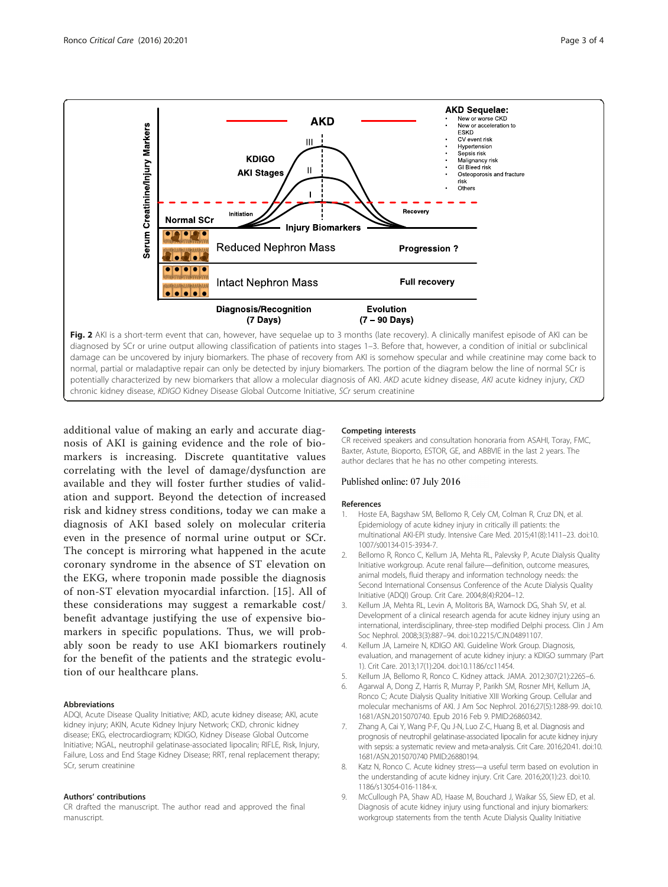<span id="page-2-0"></span>

additional value of making an early and accurate diagnosis of AKI is gaining evidence and the role of biomarkers is increasing. Discrete quantitative values correlating with the level of damage/dysfunction are available and they will foster further studies of validation and support. Beyond the detection of increased risk and kidney stress conditions, today we can make a diagnosis of AKI based solely on molecular criteria even in the presence of normal urine output or SCr. The concept is mirroring what happened in the acute coronary syndrome in the absence of ST elevation on the EKG, where troponin made possible the diagnosis of non-ST elevation myocardial infarction. [[15](#page-3-0)]. All of these considerations may suggest a remarkable cost/ benefit advantage justifying the use of expensive biomarkers in specific populations. Thus, we will probably soon be ready to use AKI biomarkers routinely for the benefit of the patients and the strategic evolution of our healthcare plans.

ADQI, Acute Disease Quality Initiative; AKD, acute kidney disease; AKI, acute kidney injury; AKIN, Acute Kidney Injury Network; CKD, chronic kidney disease; EKG, electrocardiogram; KDIGO, Kidney Disease Global Outcome Initiative; NGAL, neutrophil gelatinase-associated lipocalin; RIFLE, Risk, Injury, Failure, Loss and End Stage Kidney Disease; RRT, renal replacement therapy; SCr, serum creatinine

#### Authors' contributions

CR drafted the manuscript. The author read and approved the final manuscript.

Competing interests CR received speakers and consultation honoraria from ASAHI, Toray, FMC, Baxter, Astute, Bioporto, ESTOR, GE, and ABBVIE in the last 2 years. The author declares that he has no other competing interests.

### Published online: 07 July 2016

#### References

- 1. Hoste EA, Bagshaw SM, Bellomo R, Cely CM, Colman R, Cruz DN, et al. Epidemiology of acute kidney injury in critically ill patients: the multinational AKI-EPI study. Intensive Care Med. 2015;41(8):1411–23. doi:[10.](http://dx.doi.org/10.1007/s00134-015-3934-7) [1007/s00134-015-3934-7](http://dx.doi.org/10.1007/s00134-015-3934-7).
- 2. Bellomo R, Ronco C, Kellum JA, Mehta RL, Palevsky P, Acute Dialysis Quality Initiative workgroup. Acute renal failure—definition, outcome measures, animal models, fluid therapy and information technology needs: the Second International Consensus Conference of the Acute Dialysis Quality Initiative (ADQI) Group. Crit Care. 2004;8(4):R204–12.
- 3. Kellum JA, Mehta RL, Levin A, Molitoris BA, Warnock DG, Shah SV, et al. Development of a clinical research agenda for acute kidney injury using an international, interdisciplinary, three-step modified Delphi process. Clin J Am Soc Nephrol. 2008;3(3):887–94. doi[:10.2215/CJN.04891107.](http://dx.doi.org/10.2215/CJN.04891107)
- 4. Kellum JA, Lameire N, KDIGO AKI. Guideline Work Group. Diagnosis, evaluation, and management of acute kidney injury: a KDIGO summary (Part 1). Crit Care. 2013;17(1):204. doi[:10.1186/cc11454](http://dx.doi.org/10.1186/cc11454).
- 5. Kellum JA, Bellomo R, Ronco C. Kidney attack. JAMA. 2012;307(21):2265–6.
- 6. Agarwal A, Dong Z, Harris R, Murray P, Parikh SM, Rosner MH, Kellum JA, Ronco C; Acute Dialysis Quality Initiative XIII Working Group. Cellular and molecular mechanisms of AKI. J Am Soc Nephrol. 2016;27(5):1288-99. doi[:10.](http://dx.doi.org/10.1681/ASN.2015070740) [1681/ASN.2015070740](http://dx.doi.org/10.1681/ASN.2015070740). Epub 2016 Feb 9. PMID:26860342.
- Zhang A, Cai Y, Wang P-F, Qu J-N, Luo Z-C, Huang B, et al. Diagnosis and prognosis of neutrophil gelatinase-associated lipocalin for acute kidney injury with sepsis: a systematic review and meta-analysis. Crit Care. 2016;20:41. doi[:10.](http://dx.doi.org/10.1681/ASN.2015070740) [1681/ASN.2015070740](http://dx.doi.org/10.1681/ASN.2015070740) PMID:26880194.
- 8. Katz N, Ronco C. Acute kidney stress—a useful term based on evolution in the understanding of acute kidney injury. Crit Care. 2016;20(1):23. doi[:10.](http://dx.doi.org/10.1186/s13054-016-1184-x) [1186/s13054-016-1184-x.](http://dx.doi.org/10.1186/s13054-016-1184-x)
- 9. McCullough PA, Shaw AD, Haase M, Bouchard J, Waikar SS, Siew ED, et al. Diagnosis of acute kidney injury using functional and injury biomarkers: workgroup statements from the tenth Acute Dialysis Quality Initiative